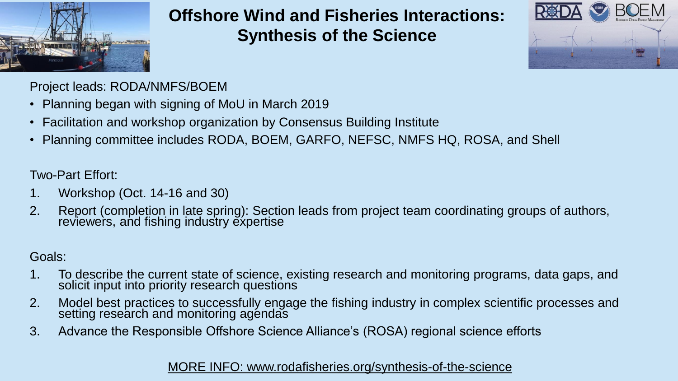

### **Offshore Wind and Fisheries Interactions: Synthesis of the Science**



Project leads: RODA/NMFS/BOEM

- Planning began with signing of MoU in March 2019
- Facilitation and workshop organization by Consensus Building Institute
- Planning committee includes RODA, BOEM, GARFO, NEFSC, NMFS HQ, ROSA, and Shell

Two-Part Effort:

- 1. Workshop (Oct. 14-16 and 30)
- 2. Report (completion in late spring): Section leads from project team coordinating groups of authors, reviewers, and fishing industry expertise

### Goals:

- 1. To describe the current state of science, existing research and monitoring programs, data gaps, and solicit input into priority research questions
- 2. Model best practices to successfully engage the fishing industry in complex scientific processes and setting research and monitoring agéndas
- 3. Advance the Responsible Offshore Science Alliance's (ROSA) regional science efforts

#### [MORE INFO: www.rodafisheries.org/synthesis-of-the-science](http://www.rodafisheries.org/synthesis-of-the-science)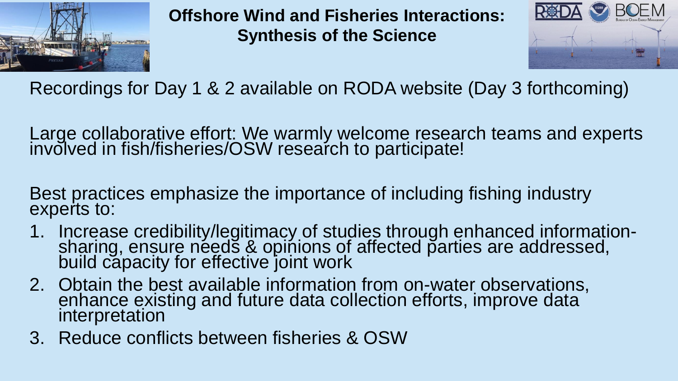

**Offshore Wind and Fisheries Interactions: Synthesis of the Science**



Recordings for Day 1 & 2 available on RODA website (Day 3 forthcoming)

Large collaborative effort: We warmly welcome research teams and experts involved in fish/fisheries/OSW research to participate!

Best practices emphasize the importance of including fishing industry experts to:

- 1. Increase credibility/legitimacy of studies through enhanced informationsharing, ensure néeds & opinions of affected parties are addressed, build capacity for effective joint work
- 2. Obtain the best available information from on-water observations, enhance existing and future data collection efforts, improve data interpretation
- 3. Reduce conflicts between fisheries & OSW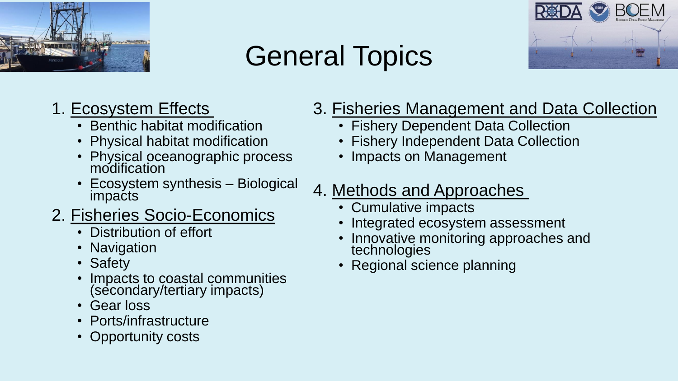

## General Topics



## 1. Ecosystem Effects

- Benthic habitat modification
- Physical habitat modification
- Physical oceanographic process modification
- Ecosystem synthesis Biological impacts
- 2. Fisheries Socio-Economics
	- Distribution of effort
	- Navigation
	- Safety
	- Impacts to coastal communities (secondary/tertiary impacts)
	- Gear loss
	- Ports/infrastructure
	- Opportunity costs

## 3. Fisheries Management and Data Collection

- Fishery Dependent Data Collection
- Fishery Independent Data Collection
- Impacts on Management
- 4. Methods and Approaches
	- Cumulative impacts
	- Integrated ecosystem assessment
	- Innovative monitoring approaches and technologies
	- Regional science planning